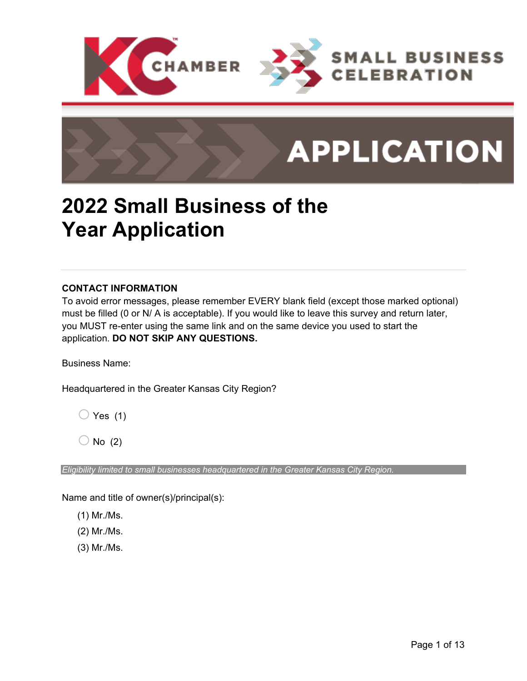

### **2022 Small Business of the Year Application**

### **CONTACT INFORMATION**

To avoid error messages, please remember EVERY blank field (except those marked optional) must be filled (0 or N/ A is acceptable). If you would like to leave this survey and return later, you MUST re-enter using the same link and on the same device you used to start the application. **DO NOT SKIP ANY QUESTIONS.**

Business Name:

Headquartered in the Greater Kansas City Region?

 $\bigcirc$  Yes (1)

 $\bigcirc$  No (2)

*Eligibility limited to small businesses headquartered in the Greater Kansas City Region.*

Name and title of owner(s)/principal(s):

(1) Mr./Ms.

(2) Mr./Ms.

(3) Mr./Ms.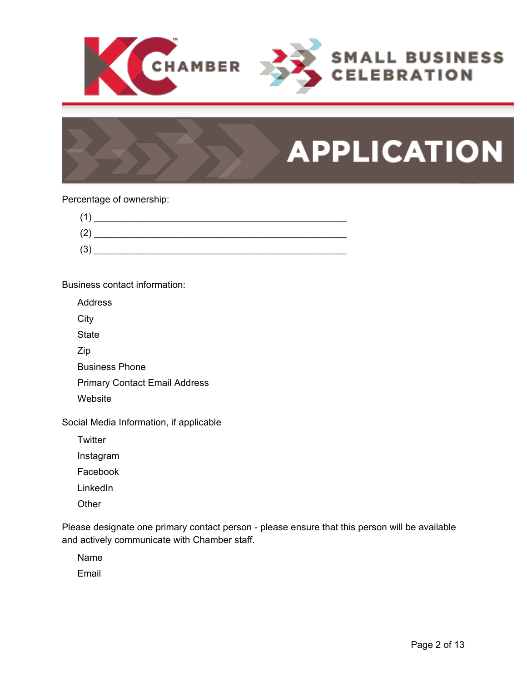

### Percentage of ownership:



Business contact information:

Address

**City** 

**State** 

Zip

Business Phone

Primary Contact Email Address

**Website** 

Social Media Information, if applicable

**Twitter** 

Instagram

Facebook

**LinkedIn** 

**Other** 

Please designate one primary contact person - please ensure that this person will be available and actively communicate with Chamber staff.

Name

Email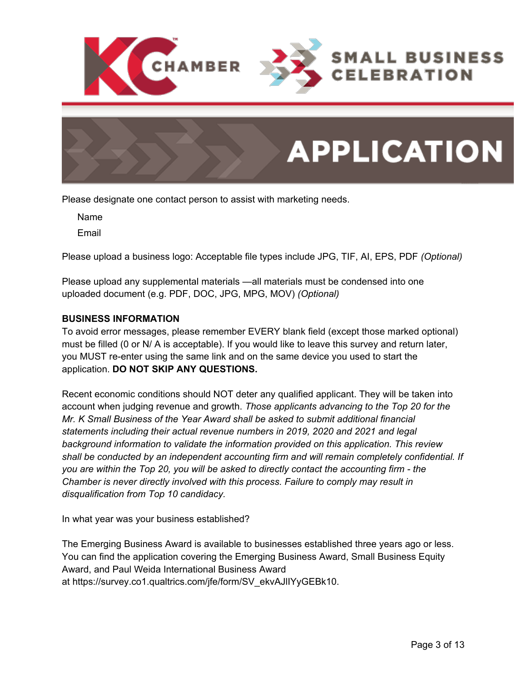

Please designate one contact person to assist with marketing needs.

Name

Email

Please upload a business logo: Acceptable file types include JPG, TIF, AI, EPS, PDF *(Optional)*

Please upload any supplemental materials —all materials must be condensed into one uploaded document (e.g. PDF, DOC, JPG, MPG, MOV) *(Optional)*

### **BUSINESS INFORMATION**

To avoid error messages, please remember EVERY blank field (except those marked optional) must be filled (0 or N/ A is acceptable). If you would like to leave this survey and return later, you MUST re-enter using the same link and on the same device you used to start the application. **DO NOT SKIP ANY QUESTIONS.**

Recent economic conditions should NOT deter any qualified applicant. They will be taken into account when judging revenue and growth. *Those applicants advancing to the Top 20 for the Mr. K Small Business of the Year Award shall be asked to submit additional financial statements including their actual revenue numbers in 2019, 2020 and 2021 and legal background information to validate the information provided on this application. This review shall be conducted by an independent accounting firm and will remain completely confidential. If you are within the Top 20, you will be asked to directly contact the accounting firm - the Chamber is never directly involved with this process. Failure to comply may result in disqualification from Top 10 candidacy.*

In what year was your business established?

The Emerging Business Award is available to businesses established three years ago or less. You can find the application covering the Emerging Business Award, Small Business Equity Award, and Paul Weida International Business Award at https://survey.co1.qualtrics.com/jfe/form/SV\_ekvAJlIYyGEBk10.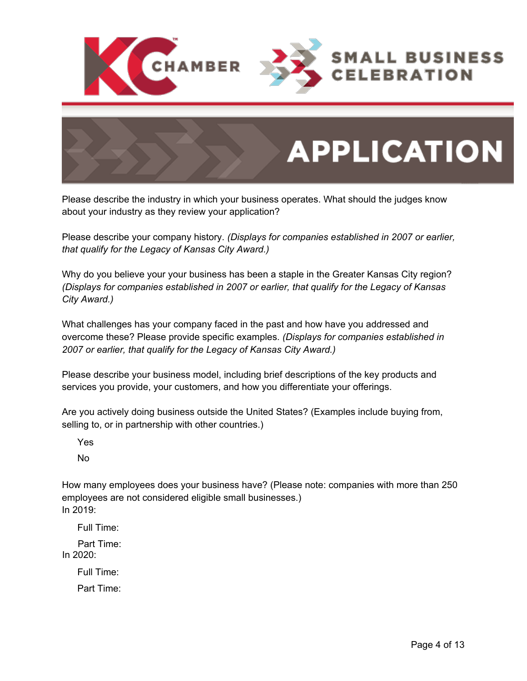



Please describe the industry in which your business operates. What should the judges know about your industry as they review your application?

Please describe your company history. *(Displays for companies established in 2007 or earlier, that qualify for the Legacy of Kansas City Award.)*

Why do you believe your your business has been a staple in the Greater Kansas City region? *(Displays for companies established in 2007 or earlier, that qualify for the Legacy of Kansas City Award.)*

What challenges has your company faced in the past and how have you addressed and overcome these? Please provide specific examples. *(Displays for companies established in 2007 or earlier, that qualify for the Legacy of Kansas City Award.)*

Please describe your business model, including brief descriptions of the key products and services you provide, your customers, and how you differentiate your offerings.

Are you actively doing business outside the United States? (Examples include buying from, selling to, or in partnership with other countries.)

Yes

No

How many employees does your business have? (Please note: companies with more than 250 employees are not considered eligible small businesses.) In 2019:

Full Time:

Part Time: In 2020:

> Full Time: Part Time: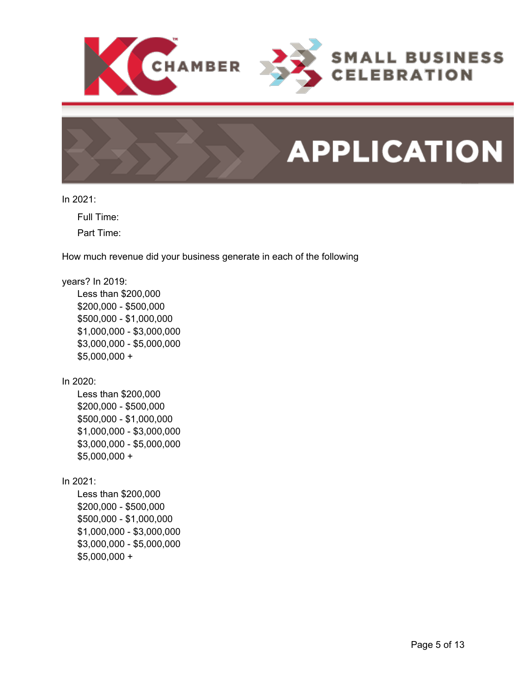

In 2021:

Full Time:

Part Time:

How much revenue did your business generate in each of the following

### years? In 2019:

Less than \$200,000 \$200,000 - \$500,000 \$500,000 - \$1,000,000 \$1,000,000 - \$3,000,000 \$3,000,000 - \$5,000,000 \$5,000,000 +

In 2020:

Less than \$200,000 \$200,000 - \$500,000 \$500,000 - \$1,000,000 \$1,000,000 - \$3,000,000 \$3,000,000 - \$5,000,000  $$5,000,000 +$ 

In 2021:

Less than \$200,000 \$200,000 - \$500,000 \$500,000 - \$1,000,000 \$1,000,000 - \$3,000,000 \$3,000,000 - \$5,000,000 \$5,000,000 +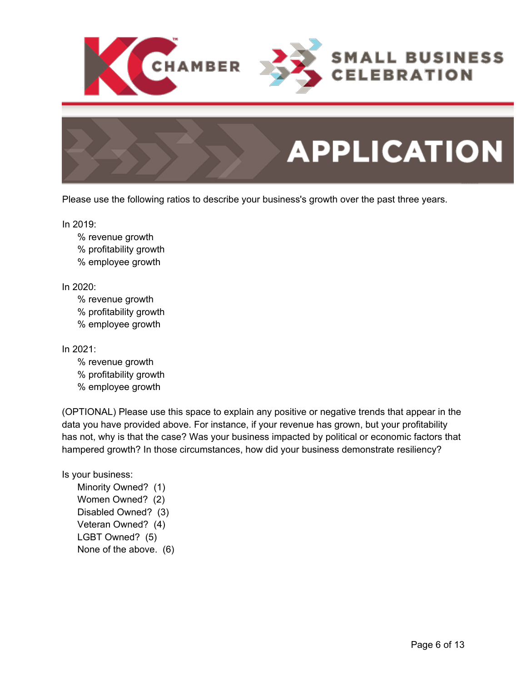

Please use the following ratios to describe your business's growth over the past three years.

In 2019:

% revenue growth % profitability growth % employee growth

In 2020:

% revenue growth % profitability growth % employee growth

In 2021:

% revenue growth % profitability growth % employee growth

(OPTIONAL) Please use this space to explain any positive or negative trends that appear in the data you have provided above. For instance, if your revenue has grown, but your profitability has not, why is that the case? Was your business impacted by political or economic factors that hampered growth? In those circumstances, how did your business demonstrate resiliency?

Is your business:

Minority Owned? (1) Women Owned? (2) Disabled Owned? (3) Veteran Owned? (4) LGBT Owned? (5) None of the above. (6)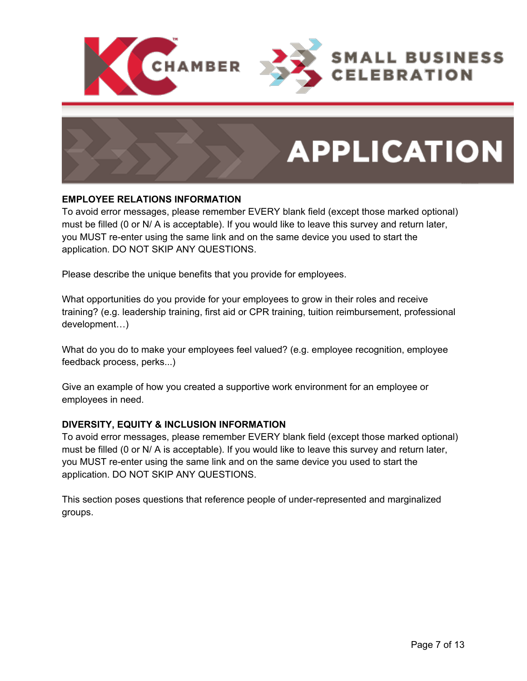

### **EMPLOYEE RELATIONS INFORMATION**

To avoid error messages, please remember EVERY blank field (except those marked optional) must be filled (0 or N/ A is acceptable). If you would like to leave this survey and return later, you MUST re-enter using the same link and on the same device you used to start the application. DO NOT SKIP ANY QUESTIONS.

Please describe the unique benefits that you provide for employees.

What opportunities do you provide for your employees to grow in their roles and receive training? (e.g. leadership training, first aid or CPR training, tuition reimbursement, professional development…)

What do you do to make your employees feel valued? (e.g. employee recognition, employee feedback process, perks...)

Give an example of how you created a supportive work environment for an employee or employees in need.

### **DIVERSITY, EQUITY & INCLUSION INFORMATION**

To avoid error messages, please remember EVERY blank field (except those marked optional) must be filled (0 or N/ A is acceptable). If you would like to leave this survey and return later, you MUST re-enter using the same link and on the same device you used to start the application. DO NOT SKIP ANY QUESTIONS.

This section poses questions that reference people of under-represented and marginalized groups.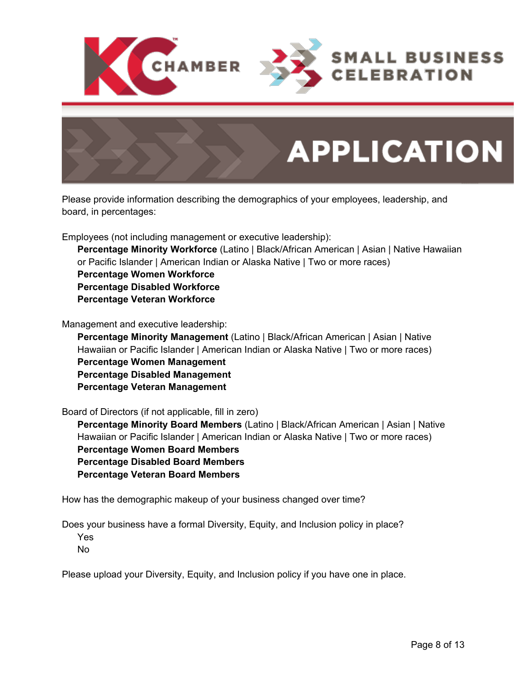



Please provide information describing the demographics of your employees, leadership, and board, in percentages:

Employees (not including management or executive leadership):

**Percentage Minority Workforce** (Latino | Black/African American | Asian | Native Hawaiian or Pacific Islander | American Indian or Alaska Native | Two or more races) **Percentage Women Workforce Percentage Disabled Workforce Percentage Veteran Workforce**

Management and executive leadership:

**Percentage Minority Management** (Latino | Black/African American | Asian | Native Hawaiian or Pacific Islander | American Indian or Alaska Native | Two or more races) **Percentage Women Management Percentage Disabled Management Percentage Veteran Management**

Board of Directors (if not applicable, fill in zero)

**Percentage Minority Board Members** (Latino | Black/African American | Asian | Native Hawaiian or Pacific Islander | American Indian or Alaska Native | Two or more races) **Percentage Women Board Members Percentage Disabled Board Members Percentage Veteran Board Members**

How has the demographic makeup of your business changed over time?

Does your business have a formal Diversity, Equity, and Inclusion policy in place?

Yes

No

Please upload your Diversity, Equity, and Inclusion policy if you have one in place.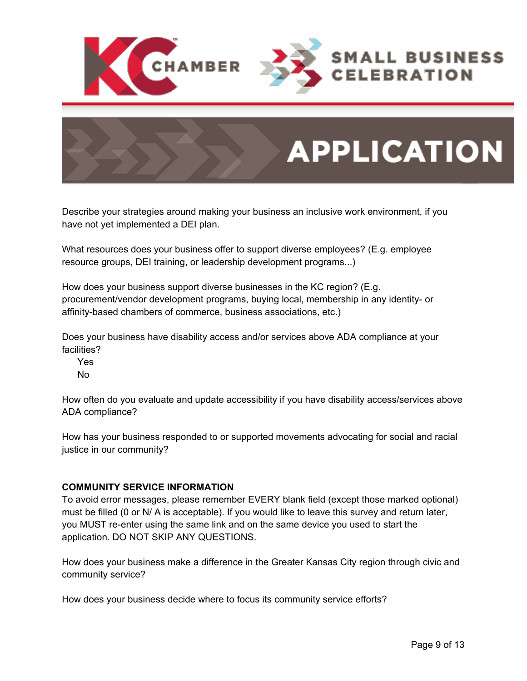

Describe your strategies around making your business an inclusive work environment, if you have not yet implemented a DEI plan.

What resources does your business offer to support diverse employees? (E.g. employee resource groups, DEI training, or leadership development programs...)

How does your business support diverse businesses in the KC region? (E.g. procurement/vendor development programs, buying local, membership in any identity- or affinity-based chambers of commerce, business associations, etc.)

Does your business have disability access and/or services above ADA compliance at your facilities?

Yes No

How often do you evaluate and update accessibility if you have disability access/services above ADA compliance?

How has your business responded to or supported movements advocating for social and racial justice in our community?

### **COMMUNITY SERVICE INFORMATION**

To avoid error messages, please remember EVERY blank field (except those marked optional) must be filled (0 or N/ A is acceptable). If you would like to leave this survey and return later, you MUST re-enter using the same link and on the same device you used to start the application. DO NOT SKIP ANY QUESTIONS.

How does your business make a difference in the Greater Kansas City region through civic and community service?

How does your business decide where to focus its community service efforts?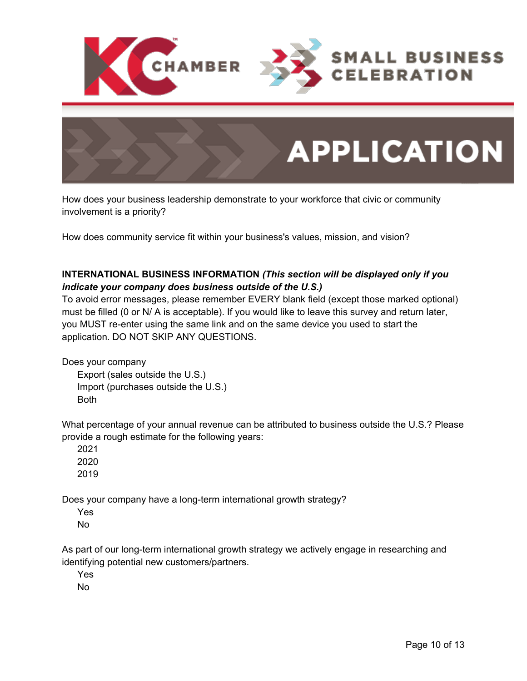



How does your business leadership demonstrate to your workforce that civic or community involvement is a priority?

How does community service fit within your business's values, mission, and vision?

### **INTERNATIONAL BUSINESS INFORMATION** *(This section will be displayed only if you indicate your company does business outside of the U.S.)*

To avoid error messages, please remember EVERY blank field (except those marked optional) must be filled (0 or N/ A is acceptable). If you would like to leave this survey and return later, you MUST re-enter using the same link and on the same device you used to start the application. DO NOT SKIP ANY QUESTIONS.

Does your company Export (sales outside the U.S.) Import (purchases outside the U.S.) Both

What percentage of your annual revenue can be attributed to business outside the U.S.? Please provide a rough estimate for the following years:

2021 2020 2019

Does your company have a long-term international growth strategy?

Yes No

As part of our long-term international growth strategy we actively engage in researching and identifying potential new customers/partners.

Yes

No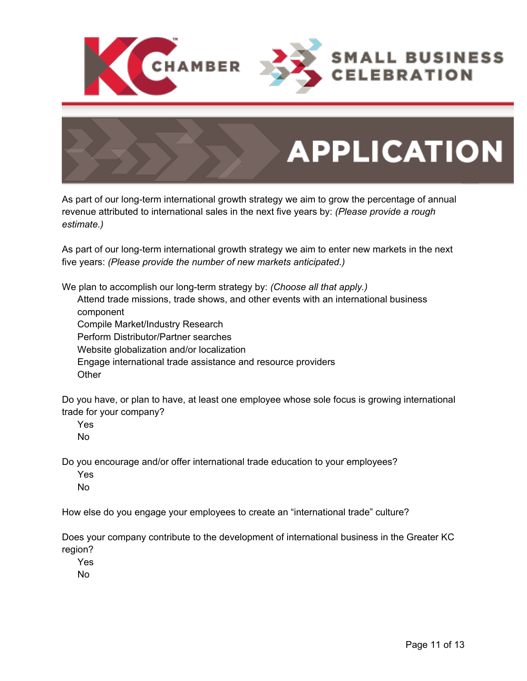



As part of our long-term international growth strategy we aim to grow the percentage of annual revenue attributed to international sales in the next five years by: *(Please provide a rough estimate.)*

As part of our long-term international growth strategy we aim to enter new markets in the next five years: *(Please provide the number of new markets anticipated.)*

We plan to accomplish our long-term strategy by: *(Choose all that apply.)* Attend trade missions, trade shows, and other events with an international business component

Compile Market/Industry Research

Perform Distributor/Partner searches

Website globalization and/or localization

Engage international trade assistance and resource providers

**Other** 

Do you have, or plan to have, at least one employee whose sole focus is growing international trade for your company?

Yes

No

Do you encourage and/or offer international trade education to your employees?

Yes

No

How else do you engage your employees to create an "international trade" culture?

Does your company contribute to the development of international business in the Greater KC region?

Yes

No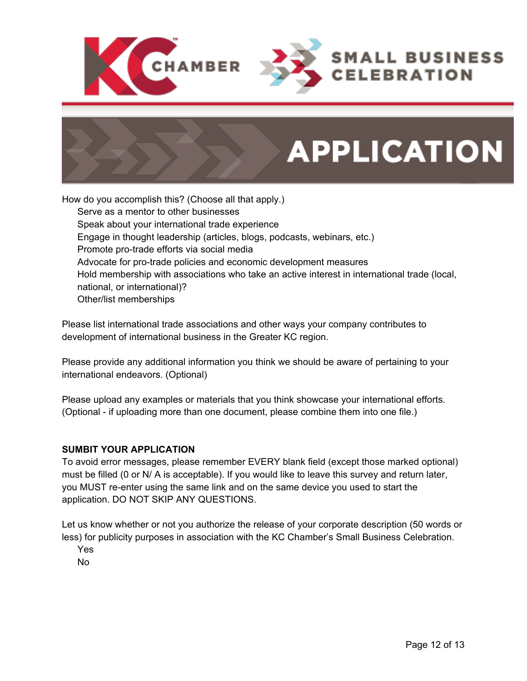



How do you accomplish this? (Choose all that apply.) Serve as a mentor to other businesses Speak about your international trade experience Engage in thought leadership (articles, blogs, podcasts, webinars, etc.) Promote pro-trade efforts via social media Advocate for pro-trade policies and economic development measures Hold membership with associations who take an active interest in international trade (local, national, or international)? Other/list memberships

Please list international trade associations and other ways your company contributes to development of international business in the Greater KC region.

Please provide any additional information you think we should be aware of pertaining to your international endeavors. (Optional)

Please upload any examples or materials that you think showcase your international efforts. (Optional - if uploading more than one document, please combine them into one file.)

### **SUMBIT YOUR APPLICATION**

To avoid error messages, please remember EVERY blank field (except those marked optional) must be filled (0 or N/ A is acceptable). If you would like to leave this survey and return later, you MUST re-enter using the same link and on the same device you used to start the application. DO NOT SKIP ANY QUESTIONS.

Let us know whether or not you authorize the release of your corporate description (50 words or less) for publicity purposes in association with the KC Chamber's Small Business Celebration.

Yes

No